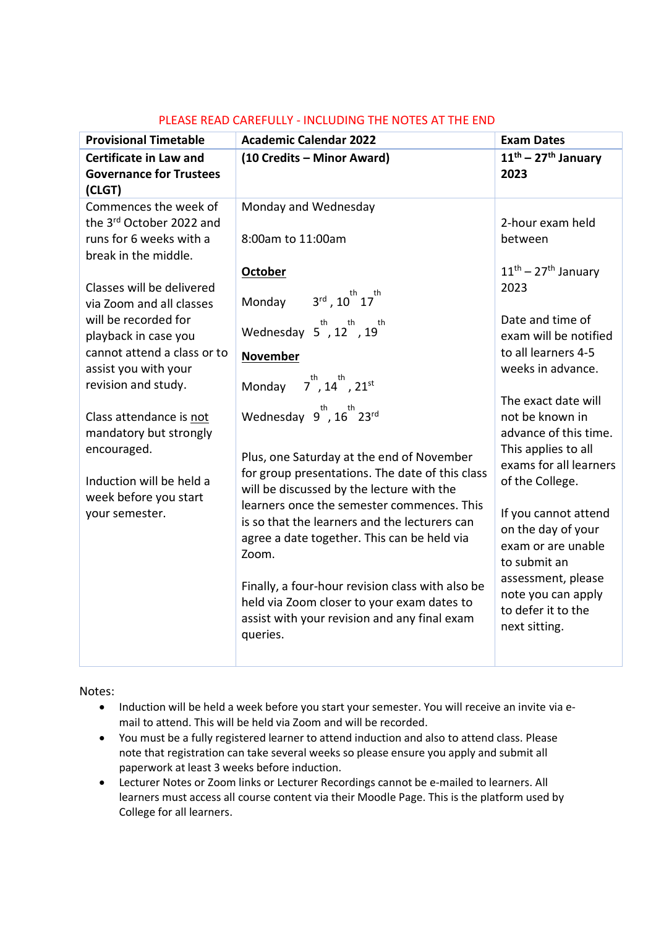| <b>Provisional Timetable</b>                                                                                                                                                                                                                                                                                                                                                                                                           | <b>Academic Calendar 2022</b>                                                                                                                                                                                                                                                                                                                                                                                                                                                                                                                                                                                                                                                                                                                                               | <b>Exam Dates</b>                                                                                                                                                                                                                                                                                                                                                                                                                                                   |
|----------------------------------------------------------------------------------------------------------------------------------------------------------------------------------------------------------------------------------------------------------------------------------------------------------------------------------------------------------------------------------------------------------------------------------------|-----------------------------------------------------------------------------------------------------------------------------------------------------------------------------------------------------------------------------------------------------------------------------------------------------------------------------------------------------------------------------------------------------------------------------------------------------------------------------------------------------------------------------------------------------------------------------------------------------------------------------------------------------------------------------------------------------------------------------------------------------------------------------|---------------------------------------------------------------------------------------------------------------------------------------------------------------------------------------------------------------------------------------------------------------------------------------------------------------------------------------------------------------------------------------------------------------------------------------------------------------------|
| <b>Certificate in Law and</b><br><b>Governance for Trustees</b><br>(CLGT)                                                                                                                                                                                                                                                                                                                                                              | (10 Credits - Minor Award)                                                                                                                                                                                                                                                                                                                                                                                                                                                                                                                                                                                                                                                                                                                                                  | $11^{th}$ – 27 <sup>th</sup> January<br>2023                                                                                                                                                                                                                                                                                                                                                                                                                        |
| Commences the week of<br>the 3rd October 2022 and<br>runs for 6 weeks with a<br>break in the middle.<br>Classes will be delivered<br>via Zoom and all classes<br>will be recorded for<br>playback in case you<br>cannot attend a class or to<br>assist you with your<br>revision and study.<br>Class attendance is not<br>mandatory but strongly<br>encouraged.<br>Induction will be held a<br>week before you start<br>your semester. | Monday and Wednesday<br>8:00am to 11:00am<br>October<br>$3^{\text{rd}}$ , $10^{\text{th}}$ $17^{\text{th}}$<br>Monday<br>Wednesday $5^{th}$ , $12^{th}$ , $19^{th}$<br><b>November</b><br>Monday $7^{\text{th}}$ , 14 <sup>th</sup> , 21 <sup>st</sup><br>Wednesday $9^{th}$ , $16^{th}$ 23 <sup>rd</sup><br>Plus, one Saturday at the end of November<br>for group presentations. The date of this class<br>will be discussed by the lecture with the<br>learners once the semester commences. This<br>is so that the learners and the lecturers can<br>agree a date together. This can be held via<br>Zoom.<br>Finally, a four-hour revision class with also be<br>held via Zoom closer to your exam dates to<br>assist with your revision and any final exam<br>queries. | 2-hour exam held<br>between<br>$11th - 27th$ January<br>2023<br>Date and time of<br>exam will be notified<br>to all learners 4-5<br>weeks in advance.<br>The exact date will<br>not be known in<br>advance of this time.<br>This applies to all<br>exams for all learners<br>of the College.<br>If you cannot attend<br>on the day of your<br>exam or are unable<br>to submit an<br>assessment, please<br>note you can apply<br>to defer it to the<br>next sitting. |
|                                                                                                                                                                                                                                                                                                                                                                                                                                        |                                                                                                                                                                                                                                                                                                                                                                                                                                                                                                                                                                                                                                                                                                                                                                             |                                                                                                                                                                                                                                                                                                                                                                                                                                                                     |

## PLEASE READ CAREFULLY - INCLUDING THE NOTES AT THE END

## Notes:

- Induction will be held a week before you start your semester. You will receive an invite via email to attend. This will be held via Zoom and will be recorded.
- You must be a fully registered learner to attend induction and also to attend class. Please note that registration can take several weeks so please ensure you apply and submit all paperwork at least 3 weeks before induction.
- Lecturer Notes or Zoom links or Lecturer Recordings cannot be e-mailed to learners. All learners must access all course content via their Moodle Page. This is the platform used by College for all learners.